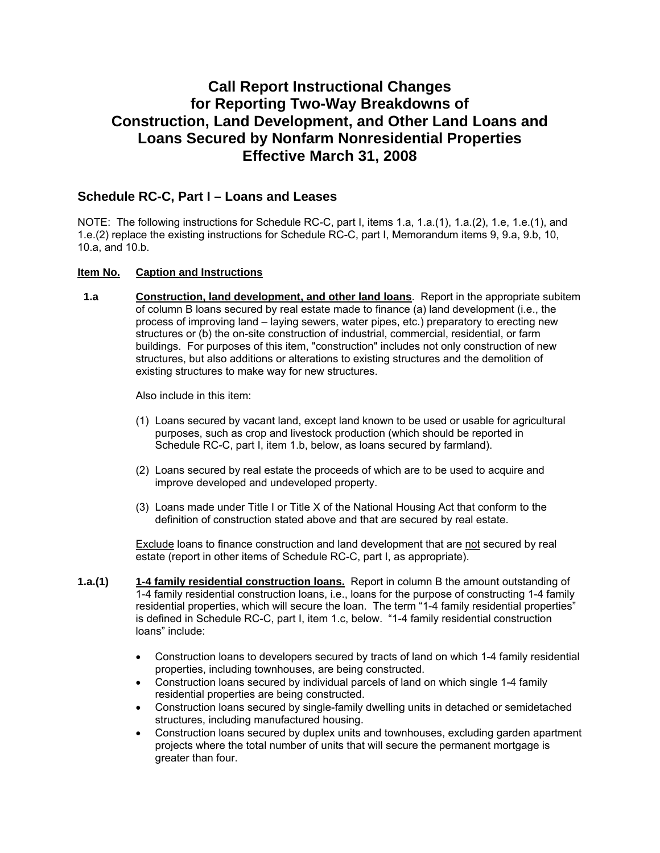# **Call Report Instructional Changes for Reporting Two-Way Breakdowns of Construction, Land Development, and Other Land Loans and Loans Secured by Nonfarm Nonresidential Properties Effective March 31, 2008**

# **Schedule RC-C, Part I – Loans and Leases**

NOTE: The following instructions for Schedule RC-C, part I, items 1.a, 1.a.(1), 1.a.(2), 1.e, 1.e.(1), and 1.e.(2) replace the existing instructions for Schedule RC-C, part I, Memorandum items 9, 9.a, 9.b, 10, 10.a, and 10.b.

#### **Item No. Caption and Instructions**

 **1.a Construction, land development, and other land loans**. Report in the appropriate subitem of column B loans secured by real estate made to finance (a) land development (i.e., the process of improving land – laying sewers, water pipes, etc.) preparatory to erecting new structures or (b) the on-site construction of industrial, commercial, residential, or farm buildings. For purposes of this item, "construction" includes not only construction of new structures, but also additions or alterations to existing structures and the demolition of existing structures to make way for new structures.

Also include in this item:

- (1) Loans secured by vacant land, except land known to be used or usable for agricultural purposes, such as crop and livestock production (which should be reported in Schedule RC-C, part I, item 1.b, below, as loans secured by farmland).
- (2) Loans secured by real estate the proceeds of which are to be used to acquire and improve developed and undeveloped property.
- (3) Loans made under Title I or Title X of the National Housing Act that conform to the definition of construction stated above and that are secured by real estate.

Exclude loans to finance construction and land development that are not secured by real estate (report in other items of Schedule RC-C, part I, as appropriate).

- **1.a.(1) 1-4 family residential construction loans.** Report in column B the amount outstanding of 1-4 family residential construction loans, i.e., loans for the purpose of constructing 1-4 family residential properties, which will secure the loan. The term "1-4 family residential properties" is defined in Schedule RC-C, part I, item 1.c, below. "1-4 family residential construction loans" include:
	- Construction loans to developers secured by tracts of land on which 1-4 family residential properties, including townhouses, are being constructed.
	- Construction loans secured by individual parcels of land on which single 1-4 family residential properties are being constructed.
	- Construction loans secured by single-family dwelling units in detached or semidetached structures, including manufactured housing.
	- Construction loans secured by duplex units and townhouses, excluding garden apartment projects where the total number of units that will secure the permanent mortgage is greater than four.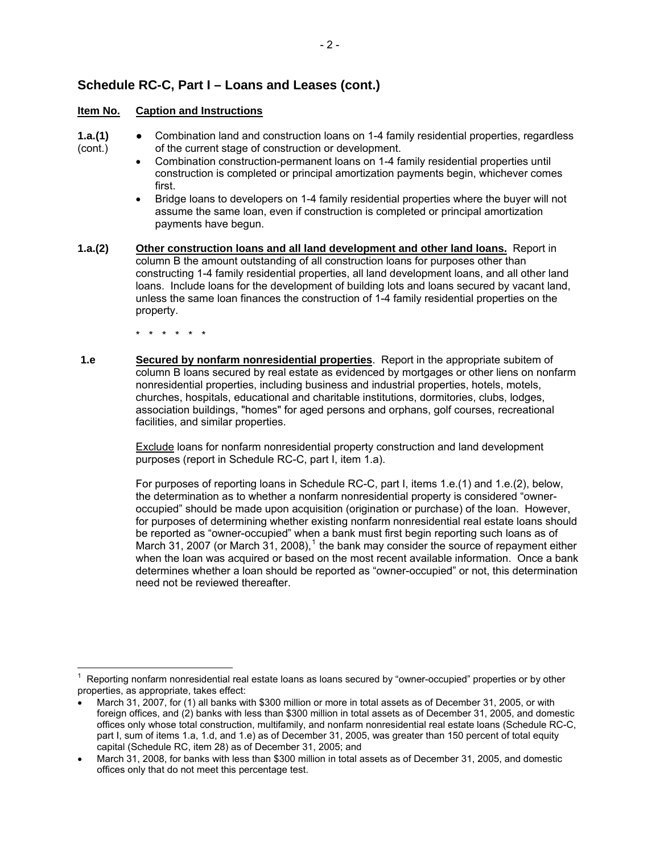# **Schedule RC-C, Part I – Loans and Leases (cont.)**

#### **Item No. Caption and Instructions**

- 
- **1.a.(1)** Combination land and construction loans on 1-4 family residential properties, regardless (cont.) of the current stage of construction or development.
	- Combination construction-permanent loans on 1-4 family residential properties until construction is completed or principal amortization payments begin, whichever comes first.
	- Bridge loans to developers on 1-4 family residential properties where the buyer will not assume the same loan, even if construction is completed or principal amortization payments have begun.
- **1.a.(2) Other construction loans and all land development and other land loans.** Report in column B the amount outstanding of all construction loans for purposes other than constructing 1-4 family residential properties, all land development loans, and all other land loans. Include loans for the development of building lots and loans secured by vacant land, unless the same loan finances the construction of 1-4 family residential properties on the property.

\* \* \* \* \* \*

**1.e Secured by nonfarm nonresidential properties**. Report in the appropriate subitem of column B loans secured by real estate as evidenced by mortgages or other liens on nonfarm nonresidential properties, including business and industrial properties, hotels, motels, churches, hospitals, educational and charitable institutions, dormitories, clubs, lodges, association buildings, "homes" for aged persons and orphans, golf courses, recreational facilities, and similar properties.

> Exclude loans for nonfarm nonresidential property construction and land development purposes (report in Schedule RC-C, part I, item 1.a).

For purposes of reporting loans in Schedule RC-C, part I, items 1.e.(1) and 1.e.(2), below, the determination as to whether a nonfarm nonresidential property is considered "owneroccupied" should be made upon acquisition (origination or purchase) of the loan. However, for purposes of determining whether existing nonfarm nonresidential real estate loans should be reported as "owner-occupied" when a bank must first begin reporting such loans as of March 3[1](#page-1-0), 2007 (or March 31, 2008),<sup>1</sup> the bank may consider the source of repayment either when the loan was acquired or based on the most recent available information. Once a bank determines whether a loan should be reported as "owner-occupied" or not, this determination need not be reviewed thereafter.

<span id="page-1-0"></span> $\overline{a}$ 1 Reporting nonfarm nonresidential real estate loans as loans secured by "owner-occupied" properties or by other properties, as appropriate, takes effect:

<sup>•</sup> March 31, 2007, for (1) all banks with \$300 million or more in total assets as of December 31, 2005, or with foreign offices, and (2) banks with less than \$300 million in total assets as of December 31, 2005, and domestic offices only whose total construction, multifamily, and nonfarm nonresidential real estate loans (Schedule RC-C, part I, sum of items 1.a, 1.d, and 1.e) as of December 31, 2005, was greater than 150 percent of total equity capital (Schedule RC, item 28) as of December 31, 2005; and

<sup>•</sup> March 31, 2008, for banks with less than \$300 million in total assets as of December 31, 2005, and domestic offices only that do not meet this percentage test.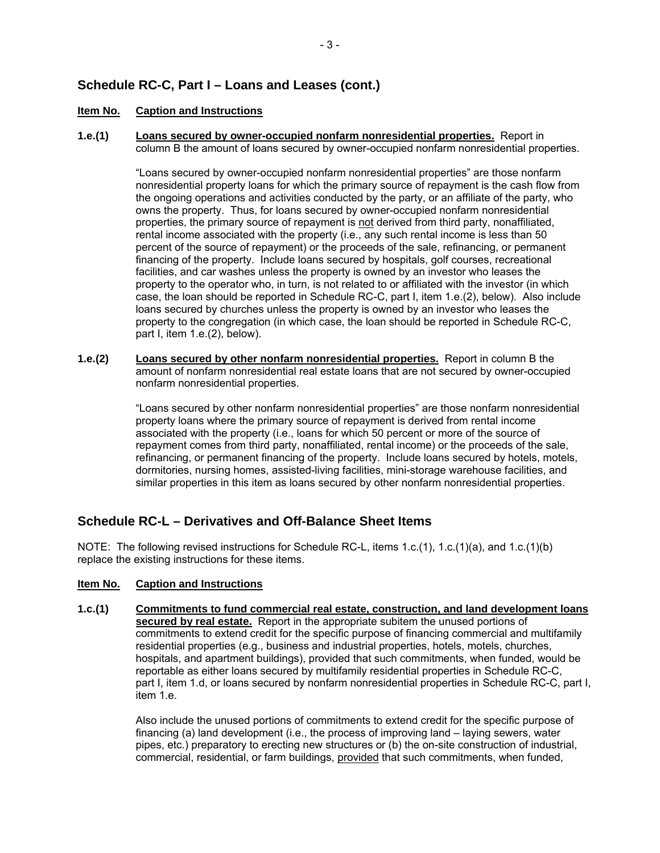# **Schedule RC-C, Part I – Loans and Leases (cont.)**

#### **Item No. Caption and Instructions**

**1.e.(1) Loans secured by owner-occupied nonfarm nonresidential properties.** Report in column B the amount of loans secured by owner-occupied nonfarm nonresidential properties.

> "Loans secured by owner-occupied nonfarm nonresidential properties" are those nonfarm nonresidential property loans for which the primary source of repayment is the cash flow from the ongoing operations and activities conducted by the party, or an affiliate of the party, who owns the property. Thus, for loans secured by owner-occupied nonfarm nonresidential properties, the primary source of repayment is not derived from third party, nonaffiliated, rental income associated with the property (i.e., any such rental income is less than 50 percent of the source of repayment) or the proceeds of the sale, refinancing, or permanent financing of the property. Include loans secured by hospitals, golf courses, recreational facilities, and car washes unless the property is owned by an investor who leases the property to the operator who, in turn, is not related to or affiliated with the investor (in which case, the loan should be reported in Schedule RC-C, part I, item 1.e.(2), below). Also include loans secured by churches unless the property is owned by an investor who leases the property to the congregation (in which case, the loan should be reported in Schedule RC-C, part I, item 1.e.(2), below).

**1.e.(2) Loans secured by other nonfarm nonresidential properties.** Report in column B the amount of nonfarm nonresidential real estate loans that are not secured by owner-occupied nonfarm nonresidential properties.

> "Loans secured by other nonfarm nonresidential properties" are those nonfarm nonresidential property loans where the primary source of repayment is derived from rental income associated with the property (i.e., loans for which 50 percent or more of the source of repayment comes from third party, nonaffiliated, rental income) or the proceeds of the sale, refinancing, or permanent financing of the property. Include loans secured by hotels, motels, dormitories, nursing homes, assisted-living facilities, mini-storage warehouse facilities, and similar properties in this item as loans secured by other nonfarm nonresidential properties.

# **Schedule RC-L – Derivatives and Off-Balance Sheet Items**

NOTE: The following revised instructions for Schedule RC-L, items 1.c.(1), 1.c.(1)(a), and 1.c.(1)(b) replace the existing instructions for these items.

### **Item No. Caption and Instructions**

**1.c.(1) Commitments to fund commercial real estate, construction, and land development loans secured by real estate.** Report in the appropriate subitem the unused portions of commitments to extend credit for the specific purpose of financing commercial and multifamily residential properties (e.g., business and industrial properties, hotels, motels, churches, hospitals, and apartment buildings), provided that such commitments, when funded, would be reportable as either loans secured by multifamily residential properties in Schedule RC-C, part I, item 1.d, or loans secured by nonfarm nonresidential properties in Schedule RC-C, part I, item 1.e.

> Also include the unused portions of commitments to extend credit for the specific purpose of financing (a) land development (i.e., the process of improving land – laying sewers, water pipes, etc.) preparatory to erecting new structures or (b) the on-site construction of industrial, commercial, residential, or farm buildings, provided that such commitments, when funded,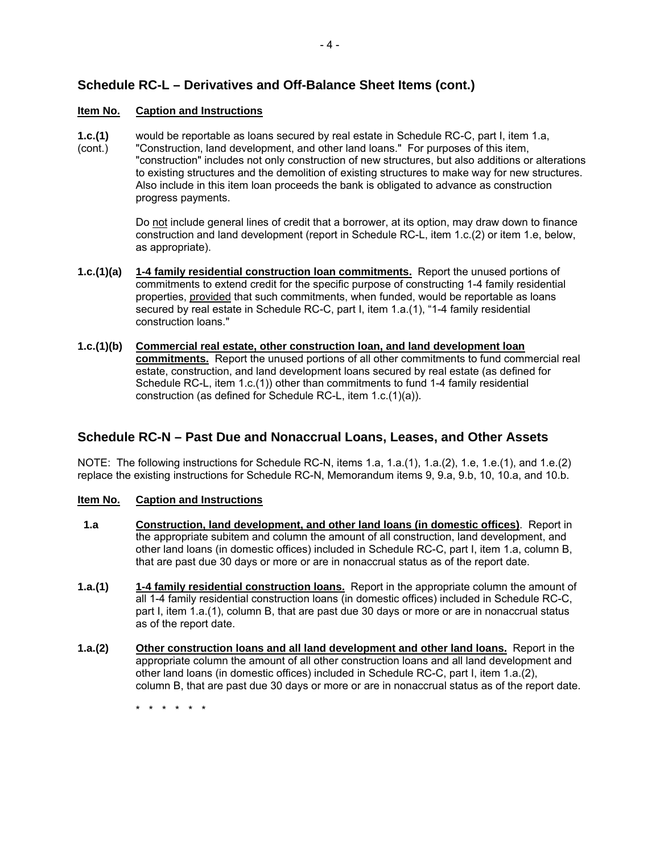# **Schedule RC-L – Derivatives and Off-Balance Sheet Items (cont.)**

### **Item No. Caption and Instructions**

- **1.c.(1)** would be reportable as loans secured by real estate in Schedule RC-C, part I, item 1.a,
- (cont.) "Construction, land development, and other land loans." For purposes of this item, "construction" includes not only construction of new structures, but also additions or alterations to existing structures and the demolition of existing structures to make way for new structures. Also include in this item loan proceeds the bank is obligated to advance as construction progress payments.

 Do not include general lines of credit that a borrower, at its option, may draw down to finance construction and land development (report in Schedule RC-L, item 1.c.(2) or item 1.e, below, as appropriate).

- **1.c.(1)(a) 1-4 family residential construction loan commitments.** Report the unused portions of commitments to extend credit for the specific purpose of constructing 1-4 family residential properties, provided that such commitments, when funded, would be reportable as loans secured by real estate in Schedule RC-C, part I, item 1.a.(1), "1-4 family residential construction loans."
- **1.c.(1)(b) Commercial real estate, other construction loan, and land development loan commitments.** Report the unused portions of all other commitments to fund commercial real estate, construction, and land development loans secured by real estate (as defined for Schedule RC-L, item 1.c.(1)) other than commitments to fund 1-4 family residential construction (as defined for Schedule RC-L, item 1.c.(1)(a)).

### **Schedule RC-N – Past Due and Nonaccrual Loans, Leases, and Other Assets**

NOTE: The following instructions for Schedule RC-N, items 1.a, 1.a.(1), 1.a.(2), 1.e, 1.e.(1), and 1.e.(2) replace the existing instructions for Schedule RC-N, Memorandum items 9, 9.a, 9.b, 10, 10.a, and 10.b.

#### **Item No. Caption and Instructions**

- **1.a Construction, land development, and other land loans (in domestic offices)**. Report in the appropriate subitem and column the amount of all construction, land development, and other land loans (in domestic offices) included in Schedule RC-C, part I, item 1.a, column B, that are past due 30 days or more or are in nonaccrual status as of the report date.
- **1.a.(1) 1-4 family residential construction loans.** Report in the appropriate column the amount of all 1-4 family residential construction loans (in domestic offices) included in Schedule RC-C, part I, item 1.a.(1), column B, that are past due 30 days or more or are in nonaccrual status as of the report date.
- **1.a.(2) Other construction loans and all land development and other land loans.** Report in the appropriate column the amount of all other construction loans and all land development and other land loans (in domestic offices) included in Schedule RC-C, part I, item 1.a.(2), column B, that are past due 30 days or more or are in nonaccrual status as of the report date.

\* \* \* \* \* \*